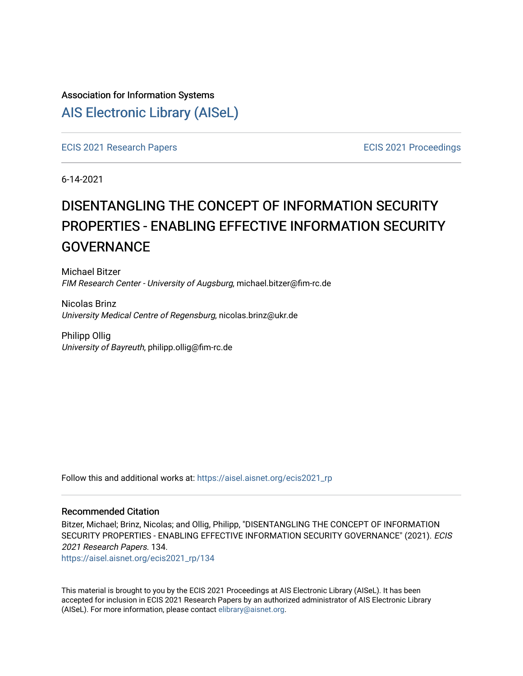# Association for Information Systems [AIS Electronic Library \(AISeL\)](https://aisel.aisnet.org/)

[ECIS 2021 Research Papers](https://aisel.aisnet.org/ecis2021_rp) [ECIS 2021 Proceedings](https://aisel.aisnet.org/ecis2021) 

6-14-2021

# DISENTANGLING THE CONCEPT OF INFORMATION SECURITY PROPERTIES - ENABLING EFFECTIVE INFORMATION SECURITY **GOVERNANCE**

Michael Bitzer FIM Research Center - University of Augsburg, michael.bitzer@fim-rc.de

Nicolas Brinz University Medical Centre of Regensburg, nicolas.brinz@ukr.de

Philipp Ollig University of Bayreuth, philipp.ollig@fim-rc.de

Follow this and additional works at: [https://aisel.aisnet.org/ecis2021\\_rp](https://aisel.aisnet.org/ecis2021_rp?utm_source=aisel.aisnet.org%2Fecis2021_rp%2F134&utm_medium=PDF&utm_campaign=PDFCoverPages)

#### Recommended Citation

Bitzer, Michael; Brinz, Nicolas; and Ollig, Philipp, "DISENTANGLING THE CONCEPT OF INFORMATION SECURITY PROPERTIES - ENABLING EFFECTIVE INFORMATION SECURITY GOVERNANCE" (2021). ECIS 2021 Research Papers. 134.

[https://aisel.aisnet.org/ecis2021\\_rp/134](https://aisel.aisnet.org/ecis2021_rp/134?utm_source=aisel.aisnet.org%2Fecis2021_rp%2F134&utm_medium=PDF&utm_campaign=PDFCoverPages)

This material is brought to you by the ECIS 2021 Proceedings at AIS Electronic Library (AISeL). It has been accepted for inclusion in ECIS 2021 Research Papers by an authorized administrator of AIS Electronic Library (AISeL). For more information, please contact [elibrary@aisnet.org](mailto:elibrary@aisnet.org%3E).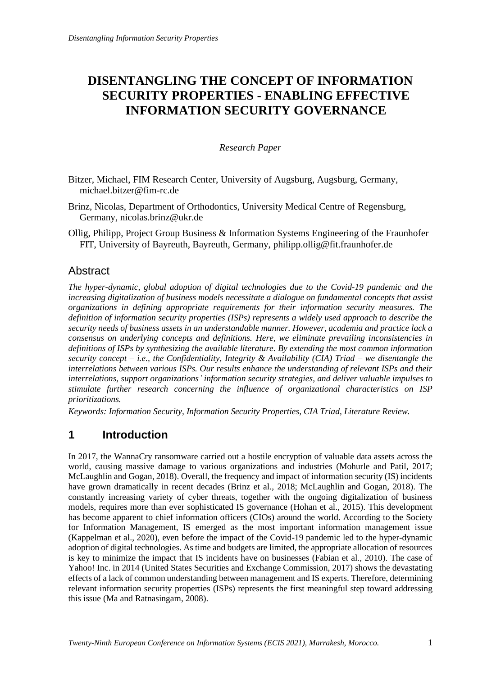# **DISENTANGLING THE CONCEPT OF INFORMATION SECURITY PROPERTIES - ENABLING EFFECTIVE INFORMATION SECURITY GOVERNANCE**

## *Research Paper*

- Bitzer, Michael, FIM Research Center, University of Augsburg, Augsburg, Germany, michael.bitzer@fim-rc.de
- Brinz, Nicolas, Department of Orthodontics, University Medical Centre of Regensburg, Germany, nicolas.brinz@ukr.de
- Ollig, Philipp, Project Group Business & Information Systems Engineering of the Fraunhofer FIT, University of Bayreuth, Bayreuth, Germany, philipp.ollig@fit.fraunhofer.de

## Abstract

*The hyper-dynamic, global adoption of digital technologies due to the Covid-19 pandemic and the increasing digitalization of business models necessitate a dialogue on fundamental concepts that assist organizations in defining appropriate requirements for their information security measures. The definition of information security properties (ISPs) represents a widely used approach to describe the security needs of business assets in an understandable manner. However, academia and practice lack a consensus on underlying concepts and definitions. Here, we eliminate prevailing inconsistencies in definitions of ISPs by synthesizing the available literature. By extending the most common information security concept – i.e., the Confidentiality, Integrity & Availability (CIA) Triad – we disentangle the interrelations between various ISPs. Our results enhance the understanding of relevant ISPs and their interrelations, support organizations' information security strategies, and deliver valuable impulses to stimulate further research concerning the influence of organizational characteristics on ISP prioritizations.*

*Keywords: Information Security, Information Security Properties, CIA Triad, Literature Review.*

# **1 Introduction**

In 2017, the WannaCry ransomware carried out a hostile encryption of valuable data assets across the world, causing massive damage to various organizations and industries (Mohurle and Patil, 2017; McLaughlin and Gogan, 2018). Overall, the frequency and impact of information security (IS) incidents have grown dramatically in recent decades (Brinz et al., 2018; McLaughlin and Gogan, 2018). The constantly increasing variety of cyber threats, together with the ongoing digitalization of business models, requires more than ever sophisticated IS governance (Hohan et al., 2015). This development has become apparent to chief information officers (CIOs) around the world. According to the Society for Information Management, IS emerged as the most important information management issue (Kappelman et al., 2020), even before the impact of the Covid-19 pandemic led to the hyper-dynamic adoption of digital technologies. As time and budgets are limited, the appropriate allocation of resources is key to minimize the impact that IS incidents have on businesses (Fabian et al., 2010). The case of Yahoo! Inc. in 2014 (United States Securities and Exchange Commission, 2017) shows the devastating effects of a lack of common understanding between management and IS experts. Therefore, determining relevant information security properties (ISPs) represents the first meaningful step toward addressing this issue (Ma and Ratnasingam, 2008).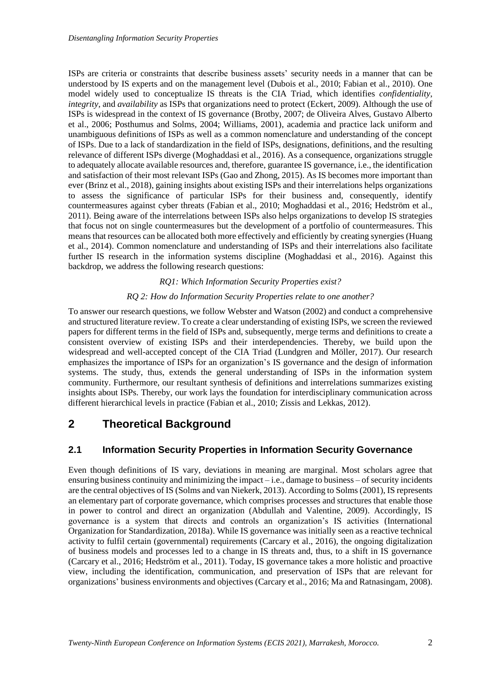ISPs are criteria or constraints that describe business assets' security needs in a manner that can be understood by IS experts and on the management level (Dubois et al., 2010; Fabian et al., 2010). One model widely used to conceptualize IS threats is the CIA Triad, which identifies *confidentiality*, *integrity,* and *availability* as ISPs that organizations need to protect (Eckert, 2009). Although the use of ISPs is widespread in the context of IS governance (Brotby, 2007; de Oliveira Alves, Gustavo Alberto et al., 2006; Posthumus and Solms, 2004; Williams, 2001), academia and practice lack uniform and unambiguous definitions of ISPs as well as a common nomenclature and understanding of the concept of ISPs. Due to a lack of standardization in the field of ISPs, designations, definitions, and the resulting relevance of different ISPs diverge (Moghaddasi et al., 2016). As a consequence, organizations struggle to adequately allocate available resources and, therefore, guarantee IS governance, i.e., the identification and satisfaction of their most relevant ISPs (Gao and Zhong, 2015). As IS becomes more important than ever (Brinz et al., 2018), gaining insights about existing ISPs and their interrelations helps organizations to assess the significance of particular ISPs for their business and, consequently, identify countermeasures against cyber threats (Fabian et al., 2010; Moghaddasi et al., 2016; Hedström et al., 2011). Being aware of the interrelations between ISPs also helps organizations to develop IS strategies that focus not on single countermeasures but the development of a portfolio of countermeasures. This means that resources can be allocated both more effectively and efficiently by creating synergies (Huang et al., 2014). Common nomenclature and understanding of ISPs and their interrelations also facilitate further IS research in the information systems discipline (Moghaddasi et al., 2016). Against this backdrop, we address the following research questions:

#### *RQ1: Which Information Security Properties exist?*

#### *RQ 2: How do Information Security Properties relate to one another?*

To answer our research questions, we follow Webster and Watson (2002) and conduct a comprehensive and structured literature review. To create a clear understanding of existing ISPs, we screen the reviewed papers for different terms in the field of ISPs and, subsequently, merge terms and definitions to create a consistent overview of existing ISPs and their interdependencies. Thereby, we build upon the widespread and well-accepted concept of the CIA Triad (Lundgren and Möller, 2017). Our research emphasizes the importance of ISPs for an organization's IS governance and the design of information systems. The study, thus, extends the general understanding of ISPs in the information system community. Furthermore, our resultant synthesis of definitions and interrelations summarizes existing insights about ISPs. Thereby, our work lays the foundation for interdisciplinary communication across different hierarchical levels in practice (Fabian et al., 2010; Zissis and Lekkas, 2012).

# **2 Theoretical Background**

## **2.1 Information Security Properties in Information Security Governance**

Even though definitions of IS vary, deviations in meaning are marginal. Most scholars agree that ensuring business continuity and minimizing the impact  $-i.e.,$  damage to business  $-$  of security incidents are the central objectives of IS (Solms and van Niekerk, 2013). According to Solms(2001), IS represents an elementary part of corporate governance, which comprises processes and structures that enable those in power to control and direct an organization (Abdullah and Valentine, 2009). Accordingly, IS governance is a system that directs and controls an organization's IS activities (International Organization for Standardization, 2018a). While IS governance was initially seen as a reactive technical activity to fulfil certain (governmental) requirements (Carcary et al., 2016), the ongoing digitalization of business models and processes led to a change in IS threats and, thus, to a shift in IS governance (Carcary et al., 2016; Hedström et al., 2011). Today, IS governance takes a more holistic and proactive view, including the identification, communication, and preservation of ISPs that are relevant for organizations' business environments and objectives (Carcary et al., 2016; Ma and Ratnasingam, 2008).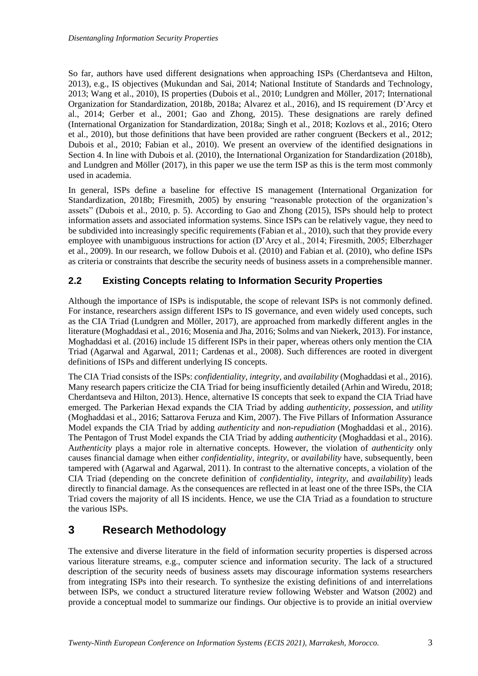So far, authors have used different designations when approaching ISPs (Cherdantseva and Hilton, 2013), e.g., IS objectives (Mukundan and Sai, 2014; National Institute of Standards and Technology, 2013; Wang et al., 2010), IS properties (Dubois et al., 2010; Lundgren and Möller, 2017; International Organization for Standardization, 2018b, 2018a; Alvarez et al., 2016), and IS requirement (D'Arcy et al., 2014; Gerber et al., 2001; Gao and Zhong, 2015). These designations are rarely defined (International Organization for Standardization, 2018a; Singh et al., 2018; Kozlovs et al., 2016; Otero et al., 2010), but those definitions that have been provided are rather congruent (Beckers et al., 2012; Dubois et al., 2010; Fabian et al., 2010). We present an overview of the identified designations in Section 4. In line with Dubois et al. (2010), the International Organization for Standardization (2018b), and Lundgren and Möller (2017), in this paper we use the term ISP as this is the term most commonly used in academia.

In general, ISPs define a baseline for effective IS management (International Organization for Standardization, 2018b; Firesmith, 2005) by ensuring "reasonable protection of the organization's assets" (Dubois et al., 2010, p. 5). According to Gao and Zhong (2015), ISPs should help to protect information assets and associated information systems. Since ISPs can be relatively vague, they need to be subdivided into increasingly specific requirements (Fabian et al., 2010), such that they provide every employee with unambiguous instructions for action (D'Arcy et al., 2014; Firesmith, 2005; Elberzhager et al., 2009). In our research, we follow Dubois et al. (2010) and Fabian et al. (2010), who define ISPs as criteria or constraints that describe the security needs of business assets in a comprehensible manner.

## **2.2 Existing Concepts relating to Information Security Properties**

Although the importance of ISPs is indisputable, the scope of relevant ISPs is not commonly defined. For instance, researchers assign different ISPs to IS governance, and even widely used concepts, such as the CIA Triad (Lundgren and Möller, 2017), are approached from markedly different angles in the literature (Moghaddasi et al., 2016; Mosenia and Jha, 2016; Solms and van Niekerk, 2013). For instance, Moghaddasi et al. (2016) include 15 different ISPs in their paper, whereas others only mention the CIA Triad (Agarwal and Agarwal, 2011; Cardenas et al., 2008). Such differences are rooted in divergent definitions of ISPs and different underlying IS concepts.

The CIA Triad consists of the ISPs: *confidentiality*, *integrity,* and *availability* (Moghaddasi et al., 2016). Many research papers criticize the CIA Triad for being insufficiently detailed (Arhin and Wiredu, 2018; Cherdantseva and Hilton, 2013). Hence, alternative IS concepts that seek to expand the CIA Triad have emerged. The Parkerian Hexad expands the CIA Triad by adding *authenticity*, *possession,* and *utility* (Moghaddasi et al., 2016; Sattarova Feruza and Kim, 2007). The Five Pillars of Information Assurance Model expands the CIA Triad by adding *authenticity* and *non-repudiation* (Moghaddasi et al., 2016). The Pentagon of Trust Model expands the CIA Triad by adding *authenticity* (Moghaddasi et al., 2016). A*uthenticity* plays a major role in alternative concepts. However, the violation of *authenticity* only causes financial damage when either *confidentiality*, *integrity,* or *availability* have, subsequently, been tampered with (Agarwal and Agarwal, 2011). In contrast to the alternative concepts, a violation of the CIA Triad (depending on the concrete definition of *confidentiality*, *integrity,* and *availability*) leads directly to financial damage. As the consequences are reflected in at least one of the three ISPs, the CIA Triad covers the majority of all IS incidents. Hence, we use the CIA Triad as a foundation to structure the various ISPs.

# **3 Research Methodology**

The extensive and diverse literature in the field of information security properties is dispersed across various literature streams, e.g., computer science and information security. The lack of a structured description of the security needs of business assets may discourage information systems researchers from integrating ISPs into their research. To synthesize the existing definitions of and interrelations between ISPs, we conduct a structured literature review following Webster and Watson (2002) and provide a conceptual model to summarize our findings. Our objective is to provide an initial overview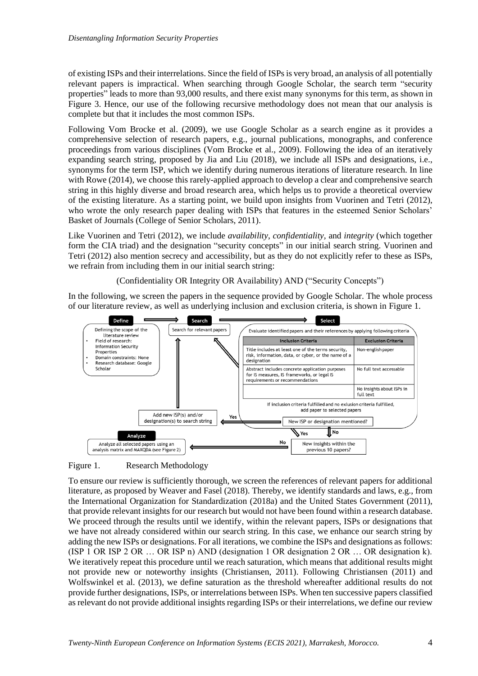of existing ISPs and their interrelations. Since the field of ISPs is very broad, an analysis of all potentially relevant papers is impractical. When searching through Google Scholar, the search term "security properties" leads to more than 93,000 results, and there exist many synonyms for this term, as shown in [Figure 3.](#page-5-0) Hence, our use of the following recursive methodology does not mean that our analysis is complete but that it includes the most common ISPs.

Following Vom Brocke et al. (2009), we use Google Scholar as a search engine as it provides a comprehensive selection of research papers, e.g., journal publications, monographs, and conference proceedings from various disciplines (Vom Brocke et al., 2009). Following the idea of an iteratively expanding search string, proposed by Jia and Liu (2018), we include all ISPs and designations, i.e., synonyms for the term ISP, which we identify during numerous iterations of literature research. In line with Rowe (2014), we choose this rarely-applied approach to develop a clear and comprehensive search string in this highly diverse and broad research area, which helps us to provide a theoretical overview of the existing literature. As a starting point, we build upon insights from Vuorinen and Tetri (2012), who wrote the only research paper dealing with ISPs that features in the esteemed Senior Scholars' Basket of Journals (College of Senior Scholars, 2011).

Like Vuorinen and Tetri (2012), we include *availability*, *confidentiality,* and *integrity* (which together form the CIA triad) and the designation "security concepts" in our initial search string. Vuorinen and Tetri (2012) also mention secrecy and accessibility, but as they do not explicitly refer to these as ISPs, we refrain from including them in our initial search string:

(Confidentiality OR Integrity OR Availability) AND ("Security Concepts")

In the following, we screen the papers in the sequence provided by Google Scholar. The whole process of our literature review, as well as underlying inclusion and exclusion criteria, is shown in [Figure 1.](#page-4-0)



<span id="page-4-0"></span>Figure 1. Research Methodology

To ensure our review is sufficiently thorough, we screen the references of relevant papers for additional literature, as proposed by Weaver and Fasel (2018). Thereby, we identify standards and laws, e.g., from the International Organization for Standardization (2018a) and the United States Government (2011), that provide relevant insights for our research but would not have been found within a research database. We proceed through the results until we identify, within the relevant papers, ISPs or designations that we have not already considered within our search string. In this case, we enhance our search string by adding the new ISPs or designations. For all iterations, we combine the ISPs and designations as follows: (ISP 1 OR ISP 2 OR … OR ISP n) AND (designation 1 OR designation 2 OR … OR designation k). We iteratively repeat this procedure until we reach saturation, which means that additional results might not provide new or noteworthy insights (Christiansen, 2011). Following Christiansen (2011) and Wolfswinkel et al. (2013), we define saturation as the threshold whereafter additional results do not provide further designations, ISPs, or interrelations between ISPs. When ten successive papers classified as relevant do not provide additional insights regarding ISPs or their interrelations, we define our review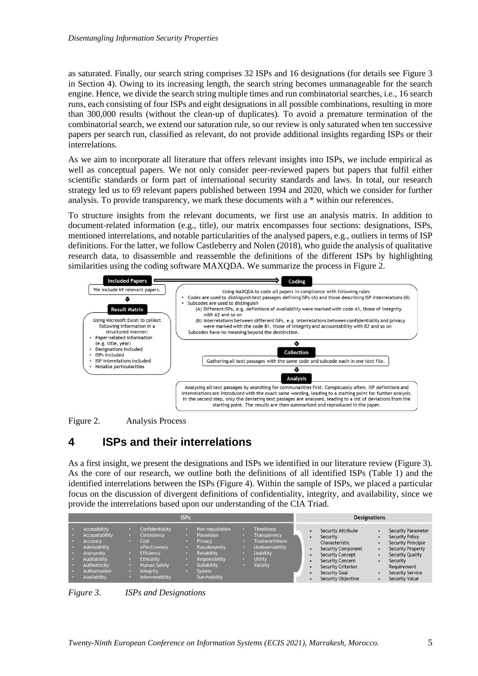as saturated. Finally, our search string comprises 32 ISPs and 16 designations (for details see [Figure 3](#page-5-0) in Section 4). Owing to its increasing length, the search string becomes unmanageable for the search engine. Hence, we divide the search string multiple times and run combinatorial searches, i.e., 16 search runs, each consisting of four ISPs and eight designations in all possible combinations, resulting in more than 300,000 results (without the clean-up of duplicates). To avoid a premature termination of the combinatorial search, we extend our saturation rule, so our review is only saturated when ten successive papers per search run, classified as relevant, do not provide additional insights regarding ISPs or their interrelations.

As we aim to incorporate all literature that offers relevant insights into ISPs, we include empirical as well as conceptual papers. We not only consider peer-reviewed papers but papers that fulfil either scientific standards or form part of international security standards and laws. In total, our research strategy led us to 69 relevant papers published between 1994 and 2020, which we consider for further analysis. To provide transparency, we mark these documents with a \* within our references.

To structure insights from the relevant documents, we first use an analysis matrix. In addition to document-related information (e.g., title), our matrix encompasses four sections: designations, ISPs, mentioned interrelations, and notable particularities of the analysed papers, e.g., outliers in terms of ISP definitions. For the latter, we follow Castleberry and Nolen (2018), who guide the analysis of qualitative research data, to disassemble and reassemble the definitions of the different ISPs by highlighting similarities using the coding software MAXQDA. We summarize the process in Figure 2.





# **4 ISPs and their interrelations**

As a first insight, we present the designations and ISPs we identified in our literature review [\(Figure 3\)](#page-5-0). As the core of our research, we outline both the definitions of all identified ISPs [\(Table 1\)](#page-10-0) and the identified interrelations between the ISPs [\(Figure 4\)](#page-11-0). Within the sample of ISPs, we placed a particular focus on the discussion of divergent definitions of confidentiality, integrity, and availability, since we provide the interrelations based upon our understanding of the CIA Triad.

| <b>ISPs</b> |                                                                                                                                                   |  |                                                                                                                                                           |   |                                                                                                                                                   |  | <b>Designations</b>                                                                                                              |  |                                                                                                                                                                                                                |  |                                                                                                                                                                                                                 |
|-------------|---------------------------------------------------------------------------------------------------------------------------------------------------|--|-----------------------------------------------------------------------------------------------------------------------------------------------------------|---|---------------------------------------------------------------------------------------------------------------------------------------------------|--|----------------------------------------------------------------------------------------------------------------------------------|--|----------------------------------------------------------------------------------------------------------------------------------------------------------------------------------------------------------------|--|-----------------------------------------------------------------------------------------------------------------------------------------------------------------------------------------------------------------|
|             | Accessibility<br>Accountability<br><b>Accuracy</b><br>Admissibility<br>Anonymity<br>Auditability<br>Authenticity<br>Authorization<br>Availability |  | <b>Confidentiality</b><br>Consistency<br>Cost-<br>effectiveness<br>Efficiency<br><b>Ethicality</b><br><b>Human Safety</b><br>Integrity<br>Intervenability | o | Non-repudiation<br>Possession<br>Privacy<br><b>Pseudonymity</b><br><b>Reliability</b><br>Responsibility<br>Suitability<br>System<br>Survivability |  | <b>Timeliness</b><br>Transparency<br><b>Trustworthiness</b><br>Unobservability<br><b>Usability</b><br><b>Utility</b><br>Validity |  | Security Attribute<br>Security<br>Characteristic<br><b>Security Component</b><br><b>Security Concept</b><br><b>Security Concern</b><br><b>Security Criterion</b><br>Security Goal<br><b>Security Objective</b> |  | <b>Security Parameter</b><br><b>Security Policy</b><br><b>Security Principle</b><br><b>Security Property</b><br><b>Security Quality</b><br>Security<br>Requirement<br>Security Service<br><b>Security Value</b> |

<span id="page-5-0"></span>*Figure 3. ISPs and Designations*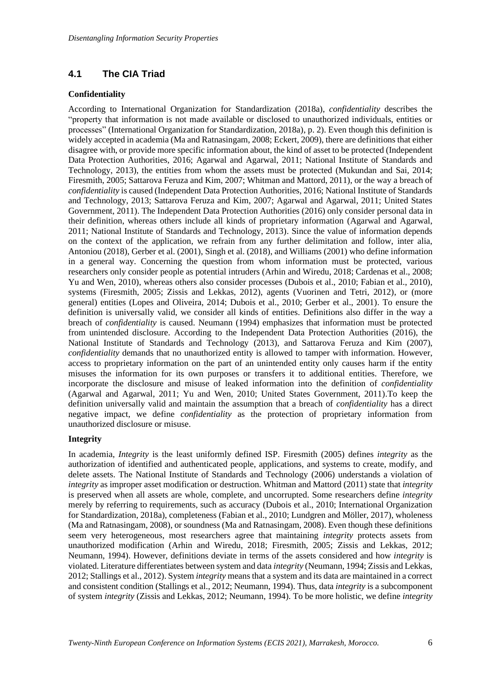## **4.1 The CIA Triad**

#### **Confidentiality**

According to International Organization for Standardization (2018a), *confidentiality* describes the "property that information is not made available or disclosed to unauthorized individuals, entities or processes" (International Organization for Standardization, 2018a), p. 2). Even though this definition is widely accepted in academia (Ma and Ratnasingam, 2008; Eckert, 2009), there are definitions that either disagree with, or provide more specific information about, the kind of asset to be protected (Independent Data Protection Authorities, 2016; Agarwal and Agarwal, 2011; National Institute of Standards and Technology, 2013), the entities from whom the assets must be protected (Mukundan and Sai, 2014; Firesmith, 2005; Sattarova Feruza and Kim, 2007; Whitman and Mattord, 2011), or the way a breach of *confidentiality* is caused (Independent Data Protection Authorities, 2016; National Institute of Standards and Technology, 2013; Sattarova Feruza and Kim, 2007; Agarwal and Agarwal, 2011; United States Government, 2011). The Independent Data Protection Authorities (2016) only consider personal data in their definition, whereas others include all kinds of proprietary information (Agarwal and Agarwal, 2011; National Institute of Standards and Technology, 2013). Since the value of information depends on the context of the application, we refrain from any further delimitation and follow, inter alia, Antoniou (2018), Gerber et al. (2001), Singh et al. (2018), and Williams (2001) who define information in a general way. Concerning the question from whom information must be protected, various researchers only consider people as potential intruders (Arhin and Wiredu, 2018; Cardenas et al., 2008; Yu and Wen, 2010), whereas others also consider processes (Dubois et al., 2010; Fabian et al., 2010), systems (Firesmith, 2005; Zissis and Lekkas, 2012), agents (Vuorinen and Tetri, 2012), or (more general) entities (Lopes and Oliveira, 2014; Dubois et al., 2010; Gerber et al., 2001). To ensure the definition is universally valid, we consider all kinds of entities. Definitions also differ in the way a breach of *confidentiality* is caused. Neumann (1994) emphasizes that information must be protected from unintended disclosure. According to the Independent Data Protection Authorities (2016), the National Institute of Standards and Technology (2013), and Sattarova Feruza and Kim (2007), *confidentiality* demands that no unauthorized entity is allowed to tamper with information. However, access to proprietary information on the part of an unintended entity only causes harm if the entity misuses the information for its own purposes or transfers it to additional entities. Therefore, we incorporate the disclosure and misuse of leaked information into the definition of *confidentiality* (Agarwal and Agarwal, 2011; Yu and Wen, 2010; United States Government, 2011).To keep the definition universally valid and maintain the assumption that a breach of *confidentiality* has a direct negative impact, we define *confidentiality* as the protection of proprietary information from unauthorized disclosure or misuse.

### **Integrity**

In academia, *Integrity* is the least uniformly defined ISP. Firesmith (2005) defines *integrity* as the authorization of identified and authenticated people, applications, and systems to create, modify, and delete assets. The National Institute of Standards and Technology (2006) understands a violation of *integrity* as improper asset modification or destruction. Whitman and Mattord (2011) state that *integrity* is preserved when all assets are whole, complete, and uncorrupted. Some researchers define *integrity* merely by referring to requirements, such as accuracy (Dubois et al., 2010; International Organization for Standardization, 2018a), completeness (Fabian et al., 2010; Lundgren and Möller, 2017), wholeness (Ma and Ratnasingam, 2008), or soundness (Ma and Ratnasingam, 2008). Even though these definitions seem very heterogeneous, most researchers agree that maintaining *integrity* protects assets from unauthorized modification (Arhin and Wiredu, 2018; Firesmith, 2005; Zissis and Lekkas, 2012; Neumann, 1994). However, definitions deviate in terms of the assets considered and how *integrity* is violated. Literature differentiates between system and data *integrity* (Neumann, 1994; Zissis and Lekkas, 2012; Stallings et al., 2012). System *integrity* means that a system and its data are maintained in a correct and consistent condition (Stallings et al., 2012; Neumann, 1994). Thus, data *integrity* is a subcomponent of system *integrity* (Zissis and Lekkas, 2012; Neumann, 1994). To be more holistic, we define *integrity*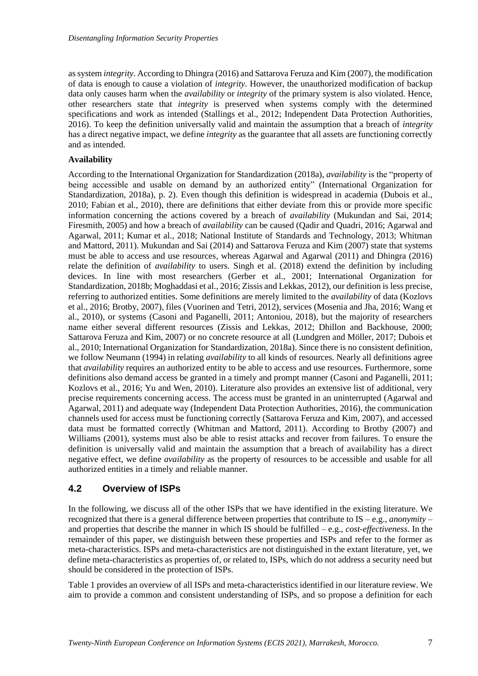as system *integrity*. According to Dhingra (2016) and Sattarova Feruza and Kim (2007), the modification of data is enough to cause a violation of *integrity*. However, the unauthorized modification of backup data only causes harm when the *availability* or *integrity* of the primary system is also violated. Hence, other researchers state that *integrity* is preserved when systems comply with the determined specifications and work as intended (Stallings et al., 2012; Independent Data Protection Authorities, 2016). To keep the definition universally valid and maintain the assumption that a breach of *integrity* has a direct negative impact, we define *integrity* as the guarantee that all assets are functioning correctly and as intended.

#### **Availability**

According to the International Organization for Standardization (2018a), *availability* is the "property of being accessible and usable on demand by an authorized entity" (International Organization for Standardization, 2018a), p. 2). Even though this definition is widespread in academia (Dubois et al., 2010; Fabian et al., 2010), there are definitions that either deviate from this or provide more specific information concerning the actions covered by a breach of *availability* (Mukundan and Sai, 2014; Firesmith, 2005) and how a breach of *availability* can be caused (Qadir and Quadri, 2016; Agarwal and Agarwal, 2011; Kumar et al., 2018; National Institute of Standards and Technology, 2013; Whitman and Mattord, 2011). Mukundan and Sai (2014) and Sattarova Feruza and Kim (2007) state that systems must be able to access and use resources, whereas Agarwal and Agarwal (2011) and Dhingra (2016) relate the definition of *availability* to users. Singh et al. (2018) extend the definition by including devices. In line with most researchers (Gerber et al., 2001; International Organization for Standardization, 2018b; Moghaddasi et al., 2016; Zissis and Lekkas, 2012), our definition is less precise, referring to authorized entities. Some definitions are merely limited to the *availability* of data (Kozlovs et al., 2016; Brotby, 2007), files (Vuorinen and Tetri, 2012), services (Mosenia and Jha, 2016; Wang et al., 2010), or systems (Casoni and Paganelli, 2011; Antoniou, 2018), but the majority of researchers name either several different resources (Zissis and Lekkas, 2012; Dhillon and Backhouse, 2000; Sattarova Feruza and Kim, 2007) or no concrete resource at all (Lundgren and Möller, 2017; Dubois et al., 2010; International Organization for Standardization, 2018a). Since there is no consistent definition, we follow Neumann (1994) in relating *availability* to all kinds of resources. Nearly all definitions agree that *availability* requires an authorized entity to be able to access and use resources. Furthermore, some definitions also demand access be granted in a timely and prompt manner (Casoni and Paganelli, 2011; Kozlovs et al., 2016; Yu and Wen, 2010). Literature also provides an extensive list of additional, very precise requirements concerning access. The access must be granted in an uninterrupted (Agarwal and Agarwal, 2011) and adequate way (Independent Data Protection Authorities, 2016), the communication channels used for access must be functioning correctly (Sattarova Feruza and Kim, 2007), and accessed data must be formatted correctly (Whitman and Mattord, 2011). According to Brotby (2007) and Williams (2001), systems must also be able to resist attacks and recover from failures. To ensure the definition is universally valid and maintain the assumption that a breach of availability has a direct negative effect, we define *availability* as the property of resources to be accessible and usable for all authorized entities in a timely and reliable manner.

## **4.2 Overview of ISPs**

In the following, we discuss all of the other ISPs that we have identified in the existing literature. We recognized that there is a general difference between properties that contribute to IS – e.g., *anonymity* – and properties that describe the manner in which IS should be fulfilled – e.g., *cost-effectiveness*. In the remainder of this paper, we distinguish between these properties and ISPs and refer to the former as meta-characteristics. ISPs and meta-characteristics are not distinguished in the extant literature, yet, we define meta-characteristics as properties of, or related to, ISPs, which do not address a security need but should be considered in the protection of ISPs.

[Table 1](#page-10-0) provides an overview of all ISPs and meta-characteristics identified in our literature review. We aim to provide a common and consistent understanding of ISPs, and so propose a definition for each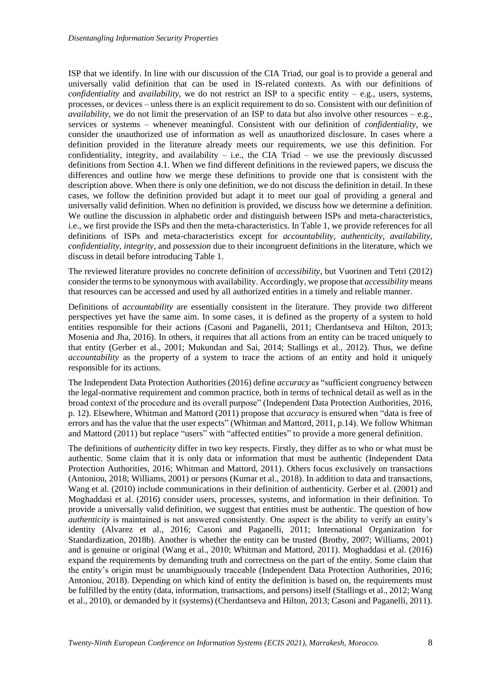ISP that we identify. In line with our discussion of the CIA Triad, our goal is to provide a general and universally valid definition that can be used in IS-related contexts. As with our definitions of *confidentiality* and *availability,* we do not restrict an ISP to a specific entity – e.g., users, systems, processes, or devices – unless there is an explicit requirement to do so. Consistent with our definition of *availability*, we do not limit the preservation of an ISP to data but also involve other resources  $-e.g.,$ services or systems – whenever meaningful. Consistent with our definition of *confidentiality*, we consider the unauthorized use of information as well as unauthorized disclosure. In cases where a definition provided in the literature already meets our requirements, we use this definition. For confidentiality, integrity, and availability – i.e., the CIA Triad – we use the previously discussed definitions from Section 4.1. When we find different definitions in the reviewed papers, we discuss the differences and outline how we merge these definitions to provide one that is consistent with the description above. When there is only one definition, we do not discuss the definition in detail. In these cases, we follow the definition provided but adapt it to meet our goal of providing a general and universally valid definition. When no definition is provided, we discuss how we determine a definition. We outline the discussion in alphabetic order and distinguish between ISPs and meta-characteristics, i.e., we first provide the ISPs and then the meta-characteristics. In [Table 1,](#page-10-0) we provide references for all definitions of ISPs and meta-characteristics except for *accountability*, *authenticity*, *availability*, *confidentiality, integrity,* and *possession* due to their incongruent definitions in the literature, which we discuss in detail before introducing Table 1.

The reviewed literature provides no concrete definition of *accessibility*, but Vuorinen and Tetri (2012) consider the terms to be synonymous with availability. Accordingly, we propose that *accessibility* means that resources can be accessed and used by all authorized entities in a timely and reliable manner.

Definitions of *accountability* are essentially consistent in the literature. They provide two different perspectives yet have the same aim. In some cases, it is defined as the property of a system to hold entities responsible for their actions (Casoni and Paganelli, 2011; Cherdantseva and Hilton, 2013; Mosenia and Jha, 2016). In others, it requires that all actions from an entity can be traced uniquely to that entity (Gerber et al., 2001; Mukundan and Sai, 2014; Stallings et al., 2012). Thus, we define *accountability* as the property of a system to trace the actions of an entity and hold it uniquely responsible for its actions.

The Independent Data Protection Authorities (2016) define *accuracy* as "sufficient congruency between the legal-normative requirement and common practice, both in terms of technical detail as well as in the broad context of the procedure and its overall purpose" (Independent Data Protection Authorities, 2016, p. 12). Elsewhere, Whitman and Mattord (2011) propose that *accuracy* is ensured when "data is free of errors and has the value that the user expects" (Whitman and Mattord, 2011, p.14). We follow Whitman and Mattord (2011) but replace "users" with "affected entities" to provide a more general definition.

The definitions of *authenticity* differ in two key respects. Firstly, they differ as to who or what must be authentic. Some claim that it is only data or information that must be authentic (Independent Data Protection Authorities, 2016; Whitman and Mattord, 2011). Others focus exclusively on transactions (Antoniou, 2018; Williams, 2001) or persons (Kumar et al., 2018). In addition to data and transactions, Wang et al. (2010) include communications in their definition of authenticity. Gerber et al. (2001) and Moghaddasi et al. (2016) consider users, processes, systems, and information in their definition. To provide a universally valid definition, we suggest that entities must be authentic. The question of how *authenticity* is maintained is not answered consistently. One aspect is the ability to verify an entity's identity (Alvarez et al., 2016; Casoni and Paganelli, 2011; International Organization for Standardization, 2018b). Another is whether the entity can be trusted (Brotby, 2007; Williams, 2001) and is genuine or original (Wang et al., 2010; Whitman and Mattord, 2011). Moghaddasi et al. (2016) expand the requirements by demanding truth and correctness on the part of the entity. Some claim that the entity's origin must be unambiguously traceable (Independent Data Protection Authorities, 2016; Antoniou, 2018). Depending on which kind of entity the definition is based on, the requirements must be fulfilled by the entity (data, information, transactions, and persons) itself (Stallings et al., 2012; Wang et al., 2010), or demanded by it (systems) (Cherdantseva and Hilton, 2013; Casoni and Paganelli, 2011).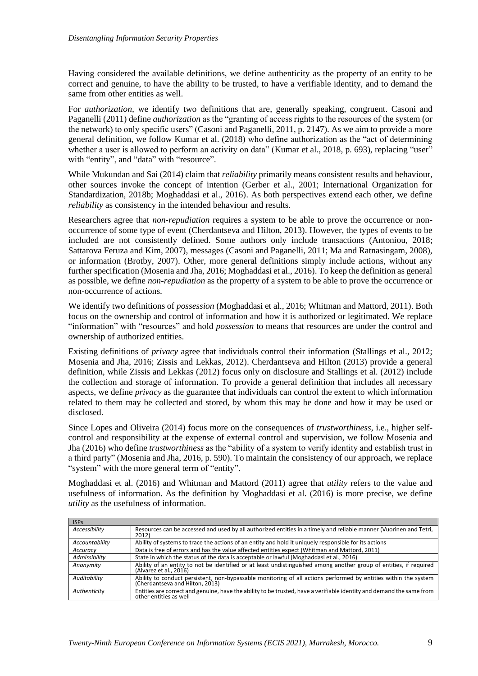Having considered the available definitions, we define authenticity as the property of an entity to be correct and genuine, to have the ability to be trusted, to have a verifiable identity, and to demand the same from other entities as well.

For *authorization,* we identify two definitions that are, generally speaking, congruent. Casoni and Paganelli (2011) define *authorization* as the "granting of access rights to the resources of the system (or the network) to only specific users" (Casoni and Paganelli, 2011, p. 2147). As we aim to provide a more general definition, we follow Kumar et al. (2018) who define authorization as the "act of determining whether a user is allowed to perform an activity on data" (Kumar et al., 2018, p. 693), replacing "user" with "entity", and "data" with "resource".

While Mukundan and Sai (2014) claim that *reliability* primarily means consistent results and behaviour, other sources invoke the concept of intention (Gerber et al., 2001; International Organization for Standardization, 2018b; Moghaddasi et al., 2016). As both perspectives extend each other, we define *reliability* as consistency in the intended behaviour and results.

Researchers agree that *non-repudiation* requires a system to be able to prove the occurrence or nonoccurrence of some type of event (Cherdantseva and Hilton, 2013). However, the types of events to be included are not consistently defined. Some authors only include transactions (Antoniou, 2018; Sattarova Feruza and Kim, 2007), messages (Casoni and Paganelli, 2011; Ma and Ratnasingam, 2008), or information (Brotby, 2007). Other, more general definitions simply include actions, without any further specification (Mosenia and Jha, 2016; Moghaddasi et al., 2016). To keep the definition as general as possible, we define *non-repudiation* as the property of a system to be able to prove the occurrence or non-occurrence of actions.

We identify two definitions of *possession* (Moghaddasi et al., 2016; Whitman and Mattord, 2011). Both focus on the ownership and control of information and how it is authorized or legitimated. We replace "information" with "resources" and hold *possession* to means that resources are under the control and ownership of authorized entities.

Existing definitions of *privacy* agree that individuals control their information (Stallings et al., 2012; Mosenia and Jha, 2016; Zissis and Lekkas, 2012). Cherdantseva and Hilton (2013) provide a general definition, while Zissis and Lekkas (2012) focus only on disclosure and Stallings et al. (2012) include the collection and storage of information. To provide a general definition that includes all necessary aspects, we define *privacy* as the guarantee that individuals can control the extent to which information related to them may be collected and stored, by whom this may be done and how it may be used or disclosed.

Since Lopes and Oliveira (2014) focus more on the consequences of *trustworthiness*, i.e., higher selfcontrol and responsibility at the expense of external control and supervision, we follow Mosenia and Jha (2016) who define *trustworthiness* as the "ability of a system to verify identity and establish trust in a third party" (Mosenia and Jha, 2016, p. 590). To maintain the consistency of our approach, we replace "system" with the more general term of "entity".

Moghaddasi et al. (2016) and Whitman and Mattord (2011) agree that *utility* refers to the value and usefulness of information. As the definition by Moghaddasi et al. (2016) is more precise, we define *utility* as the usefulness of information.

| <b>ISPs</b>    |                                                                                                                                                    |
|----------------|----------------------------------------------------------------------------------------------------------------------------------------------------|
| Accessibility  | Resources can be accessed and used by all authorized entities in a timely and reliable manner (Vuorinen and Tetri,<br>2012)                        |
| Accountability | Ability of systems to trace the actions of an entity and hold it uniquely responsible for its actions                                              |
| Accuracy       | Data is free of errors and has the value affected entities expect (Whitman and Mattord, 2011)                                                      |
| Admissibility  | State in which the status of the data is acceptable or lawful (Moghaddasi et al., 2016)                                                            |
| Anonymity      | Ability of an entity to not be identified or at least undistinguished among another group of entities, if required<br>(Alvarez et al., 2016)       |
| Auditability   | Ability to conduct persistent, non-bypassable monitoring of all actions performed by entities within the system<br>(Cherdantseva and Hilton, 2013) |
| Authenticity   | Entities are correct and genuine, have the ability to be trusted, have a verifiable identity and demand the same from<br>other entities as well    |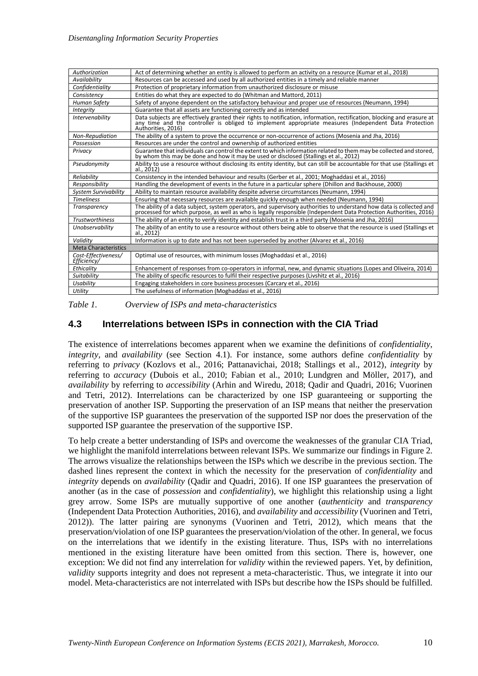| Authorization                      | Act of determining whether an entity is allowed to perform an activity on a resource (Kumar et al., 2018)                                                                                                                                              |  |  |  |  |  |  |  |  |
|------------------------------------|--------------------------------------------------------------------------------------------------------------------------------------------------------------------------------------------------------------------------------------------------------|--|--|--|--|--|--|--|--|
| Availability                       | Resources can be accessed and used by all authorized entities in a timely and reliable manner                                                                                                                                                          |  |  |  |  |  |  |  |  |
| Confidentiality                    | Protection of proprietary information from unauthorized disclosure or misuse                                                                                                                                                                           |  |  |  |  |  |  |  |  |
| Consistency                        | Entities do what they are expected to do (Whitman and Mattord, 2011)                                                                                                                                                                                   |  |  |  |  |  |  |  |  |
| Human Safety                       | Safety of anyone dependent on the satisfactory behaviour and proper use of resources (Neumann, 1994)                                                                                                                                                   |  |  |  |  |  |  |  |  |
| <b>Integrity</b>                   | Guarantee that all assets are functioning correctly and as intended                                                                                                                                                                                    |  |  |  |  |  |  |  |  |
| <b>Intervenability</b>             | Data subjects are effectively granted their rights to notification, information, rectification, blocking and erasure at<br>any time and the controller is obliged to implement appropriate measures (Independent Data Protection<br>Authorities, 2016) |  |  |  |  |  |  |  |  |
| Non-Repudiation                    | The ability of a system to prove the occurrence or non-occurrence of actions (Mosenia and Jha, 2016)                                                                                                                                                   |  |  |  |  |  |  |  |  |
| Possession                         | Resources are under the control and ownership of authorized entities                                                                                                                                                                                   |  |  |  |  |  |  |  |  |
| Privacy                            | Guarantee that individuals can control the extent to which information related to them may be collected and stored,<br>by whom this may be done and how it may be used or disclosed (Stallings et al., 2012)                                           |  |  |  |  |  |  |  |  |
| Pseudonymity                       | Ability to use a resource without disclosing its entity identity, but can still be accountable for that use (Stallings et<br>al., 2012)                                                                                                                |  |  |  |  |  |  |  |  |
| Reliability                        | Consistency in the intended behaviour and results (Gerber et al., 2001; Moghaddasi et al., 2016)                                                                                                                                                       |  |  |  |  |  |  |  |  |
| Responsibility                     | Handling the development of events in the future in a particular sphere (Dhillon and Backhouse, 2000)                                                                                                                                                  |  |  |  |  |  |  |  |  |
| <b>System Survivability</b>        | Ability to maintain resource availability despite adverse circumstances (Neumann, 1994)                                                                                                                                                                |  |  |  |  |  |  |  |  |
| <b>Timeliness</b>                  | Ensuring that necessary resources are available quickly enough when needed (Neumann, 1994)                                                                                                                                                             |  |  |  |  |  |  |  |  |
| Transparency                       | The ability of a data subject, system operators, and supervisory authorities to understand how data is collected and<br>processed for which purpose, as well as who is legally responsible (Independent Data Protection Authoriti                      |  |  |  |  |  |  |  |  |
| <b>Trustworthiness</b>             | The ability of an entity to verify identity and establish trust in a third party (Mosenia and Jha, 2016)                                                                                                                                               |  |  |  |  |  |  |  |  |
| Unobservability                    | The ability of an entity to use a resource without others being able to observe that the resource is used (Stallings et<br>al., 2012)                                                                                                                  |  |  |  |  |  |  |  |  |
| Validity                           | Information is up to date and has not been superseded by another (Alvarez et al., 2016)                                                                                                                                                                |  |  |  |  |  |  |  |  |
| <b>Meta Characteristics</b>        |                                                                                                                                                                                                                                                        |  |  |  |  |  |  |  |  |
| Cost-Effectiveness/<br>Efficiency/ | Optimal use of resources, with minimum losses (Moghaddasi et al., 2016)                                                                                                                                                                                |  |  |  |  |  |  |  |  |
| Ethicality                         | Enhancement of responses from co-operators in informal, new, and dynamic situations (Lopes and Oliveira, 2014)                                                                                                                                         |  |  |  |  |  |  |  |  |
| Suitability                        | The ability of specific resources to fulfil their respective purposes (Livshitz et al., 2016)                                                                                                                                                          |  |  |  |  |  |  |  |  |
| Usability                          | Engaging stakeholders in core business processes (Carcary et al., 2016)                                                                                                                                                                                |  |  |  |  |  |  |  |  |
| Utility                            | The usefulness of information (Moghaddasi et al., 2016)                                                                                                                                                                                                |  |  |  |  |  |  |  |  |

<span id="page-10-0"></span>*Table 1. Overview of ISPs and meta-characteristics*

### **4.3 Interrelations between ISPs in connection with the CIA Triad**

The existence of interrelations becomes apparent when we examine the definitions of *confidentiality*, *integrity,* and *availability* (see Section 4.1). For instance, some authors define *confidentiality* by referring to *privacy* (Kozlovs et al., 2016; Pattanavichai, 2018; Stallings et al., 2012), *integrity* by referring to *accuracy* (Dubois et al., 2010; Fabian et al., 2010; Lundgren and Möller, 2017), and *availability* by referring to *accessibility* (Arhin and Wiredu, 2018; Qadir and Quadri, 2016; Vuorinen and Tetri, 2012). Interrelations can be characterized by one ISP guaranteeing or supporting the preservation of another ISP. Supporting the preservation of an ISP means that neither the preservation of the supportive ISP guarantees the preservation of the supported ISP nor does the preservation of the supported ISP guarantee the preservation of the supportive ISP.

To help create a better understanding of ISPs and overcome the weaknesses of the granular CIA Triad, we highlight the manifold interrelations between relevant ISPs. We summarize our findings in Figure 2. The arrows visualize the relationships between the ISPs which we describe in the previous section. The dashed lines represent the context in which the necessity for the preservation of *confidentiality* and *integrity* depends on *availability* (Qadir and Quadri, 2016). If one ISP guarantees the preservation of another (as in the case of *possession* and *confidentiality*), we highlight this relationship using a light grey arrow. Some ISPs are mutually supportive of one another (*authenticity* and *transparency* (Independent Data Protection Authorities, 2016), and *availability* and *accessibility* (Vuorinen and Tetri, 2012)). The latter pairing are synonyms (Vuorinen and Tetri, 2012), which means that the preservation/violation of one ISP guarantees the preservation/violation of the other. In general, we focus on the interrelations that we identify in the existing literature. Thus, ISPs with no interrelations mentioned in the existing literature have been omitted from this section. There is, however, one exception: We did not find any interrelation for *validity* within the reviewed papers. Yet, by definition, *validity* supports integrity and does not represent a meta-characteristic. Thus, we integrate it into our model. Meta-characteristics are not interrelated with ISPs but describe how the ISPs should be fulfilled.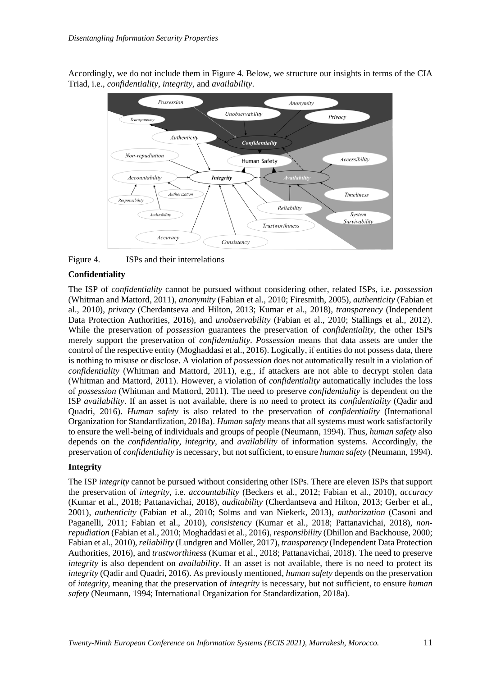Accordingly, we do not include them in [Figure 4.](#page-11-0) Below, we structure our insights in terms of the CIA Triad, i.e., *confidentiality*, *integrity,* and *availability*.



<span id="page-11-0"></span>

#### **Confidentiality**

The ISP of *confidentiality* cannot be pursued without considering other, related ISPs, i.e. *possession* (Whitman and Mattord, 2011), *anonymity* (Fabian et al., 2010; Firesmith, 2005), *authenticity* (Fabian et al., 2010), *privacy* (Cherdantseva and Hilton, 2013; Kumar et al., 2018)*, transparency* (Independent Data Protection Authorities, 2016), and *unobservability* (Fabian et al., 2010; Stallings et al., 2012). While the preservation of *possession* guarantees the preservation of *confidentiality*, the other ISPs merely support the preservation of *confidentiality*. *Possession* means that data assets are under the control of the respective entity (Moghaddasi et al., 2016). Logically, if entities do not possess data, there is nothing to misuse or disclose. A violation of *possession* does not automatically result in a violation of *confidentiality* (Whitman and Mattord, 2011), e.g., if attackers are not able to decrypt stolen data (Whitman and Mattord, 2011). However, a violation of *confidentiality* automatically includes the loss of *possession* (Whitman and Mattord, 2011). The need to preserve *confidentiality* is dependent on the ISP *availability*. If an asset is not available, there is no need to protect its *confidentiality* (Qadir and Quadri, 2016). *Human safety* is also related to the preservation of *confidentiality* (International Organization for Standardization, 2018a). *Human safety* means that all systems must work satisfactorily to ensure the well-being of individuals and groups of people (Neumann, 1994). Thus, *human safety* also depends on the *confidentiality*, *integrity,* and *availability* of information systems. Accordingly, the preservation of *confidentiality* is necessary, but not sufficient, to ensure *human safety* (Neumann, 1994).

#### **Integrity**

The ISP *integrity* cannot be pursued without considering other ISPs. There are eleven ISPs that support the preservation of *integrity*, i.e. *accountability* (Beckers et al., 2012; Fabian et al., 2010), *accuracy* (Kumar et al., 2018; Pattanavichai, 2018), *auditability* (Cherdantseva and Hilton, 2013; Gerber et al., 2001), *authenticity* (Fabian et al., 2010; Solms and van Niekerk, 2013), *authorization* (Casoni and Paganelli, 2011; Fabian et al., 2010), *consistency* (Kumar et al., 2018; Pattanavichai, 2018), *nonrepudiation* (Fabian et al., 2010; Moghaddasi et al., 2016), *responsibility* (Dhillon and Backhouse, 2000; Fabian et al., 2010), *reliability* (Lundgren and Möller, 2017), *transparency* (Independent Data Protection Authorities, 2016), and *trustworthiness* (Kumar et al., 2018; Pattanavichai, 2018). The need to preserve *integrity* is also dependent on *availability*. If an asset is not available, there is no need to protect its *integrity* (Qadir and Quadri, 2016). As previously mentioned, *human safety* depends on the preservation of *integrity*, meaning that the preservation of *integrity* is necessary, but not sufficient, to ensure *human safety* (Neumann, 1994; International Organization for Standardization, 2018a).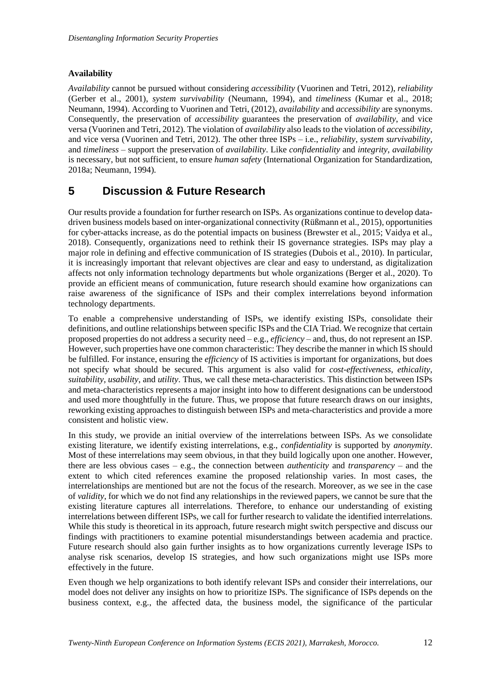## **Availability**

*Availability* cannot be pursued without considering *accessibility* (Vuorinen and Tetri, 2012), *reliability* (Gerber et al., 2001), *system survivability* (Neumann, 1994), and *timeliness* (Kumar et al., 2018; Neumann, 1994). According to Vuorinen and Tetri, (2012), *availability* and *accessibility* are synonyms. Consequently, the preservation of *accessibility* guarantees the preservation of *availability*, and vice versa (Vuorinen and Tetri, 2012). The violation of *availability* also leads to the violation of *accessibility*, and vice versa (Vuorinen and Tetri, 2012). The other three ISPs – i.e., *reliability*, *system survivability,* and *timeliness* – support the preservation of *availability*. Like *confidentiality* and *integrity*, *availability* is necessary, but not sufficient, to ensure *human safety* (International Organization for Standardization, 2018a; Neumann, 1994).

# **5 Discussion & Future Research**

Our results provide a foundation for further research on ISPs. As organizations continue to develop datadriven business models based on inter-organizational connectivity (Rüßmann et al., 2015), opportunities for cyber-attacks increase, as do the potential impacts on business (Brewster et al., 2015; Vaidya et al., 2018). Consequently, organizations need to rethink their IS governance strategies. ISPs may play a major role in defining and effective communication of IS strategies (Dubois et al., 2010). In particular, it is increasingly important that relevant objectives are clear and easy to understand, as digitalization affects not only information technology departments but whole organizations (Berger et al., 2020). To provide an efficient means of communication, future research should examine how organizations can raise awareness of the significance of ISPs and their complex interrelations beyond information technology departments.

To enable a comprehensive understanding of ISPs, we identify existing ISPs, consolidate their definitions, and outline relationships between specific ISPs and the CIA Triad. We recognize that certain proposed properties do not address a security need – e.g., *efficiency –* and, thus, do not represent an ISP*.* However, such properties have one common characteristic: They describe the manner in which IS should be fulfilled. For instance, ensuring the *efficiency* of IS activities is important for organizations, but does not specify what should be secured. This argument is also valid for *cost-effectiveness*, *ethicality*, *suitability*, *usability*, and *utility*. Thus, we call these meta-characteristics. This distinction between ISPs and meta-characteristics represents a major insight into how to different designations can be understood and used more thoughtfully in the future. Thus, we propose that future research draws on our insights, reworking existing approaches to distinguish between ISPs and meta-characteristics and provide a more consistent and holistic view.

In this study, we provide an initial overview of the interrelations between ISPs. As we consolidate existing literature, we identify existing interrelations, e.g., *confidentiality* is supported by *anonymity*. Most of these interrelations may seem obvious, in that they build logically upon one another. However, there are less obvious cases – e.g., the connection between *authenticity* and *transparency –* and the extent to which cited references examine the proposed relationship varies. In most cases, the interrelationships are mentioned but are not the focus of the research. Moreover, as we see in the case of *validity*, for which we do not find any relationships in the reviewed papers, we cannot be sure that the existing literature captures all interrelations. Therefore, to enhance our understanding of existing interrelations between different ISPs, we call for further research to validate the identified interrelations. While this study is theoretical in its approach, future research might switch perspective and discuss our findings with practitioners to examine potential misunderstandings between academia and practice. Future research should also gain further insights as to how organizations currently leverage ISPs to analyse risk scenarios, develop IS strategies, and how such organizations might use ISPs more effectively in the future.

Even though we help organizations to both identify relevant ISPs and consider their interrelations, our model does not deliver any insights on how to prioritize ISPs. The significance of ISPs depends on the business context, e.g., the affected data, the business model, the significance of the particular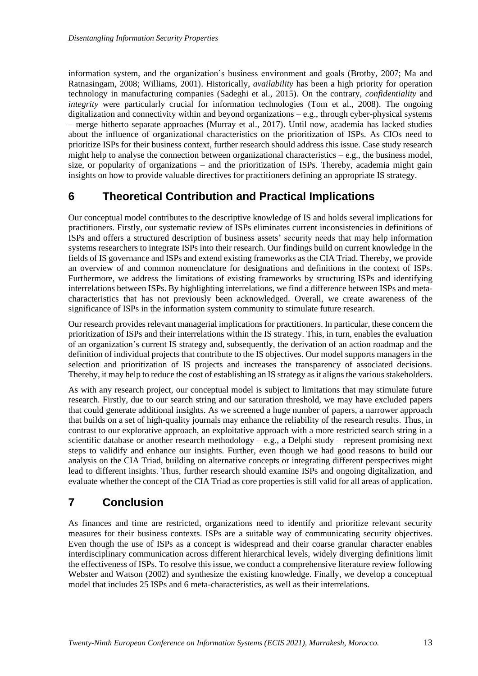information system, and the organization's business environment and goals (Brotby, 2007; Ma and Ratnasingam, 2008; Williams, 2001). Historically, *availability* has been a high priority for operation technology in manufacturing companies (Sadeghi et al., 2015). On the contrary, *confidentiality* and *integrity* were particularly crucial for information technologies (Tom et al., 2008). The ongoing digitalization and connectivity within and beyond organizations – e.g., through cyber-physical systems – merge hitherto separate approaches (Murray et al., 2017). Until now, academia has lacked studies about the influence of organizational characteristics on the prioritization of ISPs. As CIOs need to prioritize ISPs for their business context, further research should address this issue. Case study research might help to analyse the connection between organizational characteristics – e.g., the business model, size, or popularity of organizations – and the prioritization of ISPs. Thereby, academia might gain insights on how to provide valuable directives for practitioners defining an appropriate IS strategy.

# **6 Theoretical Contribution and Practical Implications**

Our conceptual model contributes to the descriptive knowledge of IS and holds several implications for practitioners. Firstly, our systematic review of ISPs eliminates current inconsistencies in definitions of ISPs and offers a structured description of business assets' security needs that may help information systems researchers to integrate ISPs into their research. Our findings build on current knowledge in the fields of IS governance and ISPs and extend existing frameworks as the CIA Triad. Thereby, we provide an overview of and common nomenclature for designations and definitions in the context of ISPs. Furthermore, we address the limitations of existing frameworks by structuring ISPs and identifying interrelations between ISPs. By highlighting interrelations, we find a difference between ISPs and metacharacteristics that has not previously been acknowledged. Overall, we create awareness of the significance of ISPs in the information system community to stimulate future research.

Our research provides relevant managerial implications for practitioners. In particular, these concern the prioritization of ISPs and their interrelations within the IS strategy. This, in turn, enables the evaluation of an organization's current IS strategy and, subsequently, the derivation of an action roadmap and the definition of individual projects that contribute to the IS objectives. Our model supports managers in the selection and prioritization of IS projects and increases the transparency of associated decisions. Thereby, it may help to reduce the cost of establishing an IS strategy as it aligns the various stakeholders.

As with any research project, our conceptual model is subject to limitations that may stimulate future research. Firstly, due to our search string and our saturation threshold, we may have excluded papers that could generate additional insights. As we screened a huge number of papers, a narrower approach that builds on a set of high-quality journals may enhance the reliability of the research results. Thus, in contrast to our explorative approach, an exploitative approach with a more restricted search string in a scientific database or another research methodology – e.g., a Delphi study – represent promising next steps to validify and enhance our insights. Further, even though we had good reasons to build our analysis on the CIA Triad, building on alternative concepts or integrating different perspectives might lead to different insights. Thus, further research should examine ISPs and ongoing digitalization, and evaluate whether the concept of the CIA Triad as core properties is still valid for all areas of application.

# **7 Conclusion**

As finances and time are restricted, organizations need to identify and prioritize relevant security measures for their business contexts. ISPs are a suitable way of communicating security objectives. Even though the use of ISPs as a concept is widespread and their coarse granular character enables interdisciplinary communication across different hierarchical levels, widely diverging definitions limit the effectiveness of ISPs. To resolve this issue, we conduct a comprehensive literature review following Webster and Watson (2002) and synthesize the existing knowledge. Finally, we develop a conceptual model that includes 25 ISPs and 6 meta-characteristics, as well as their interrelations.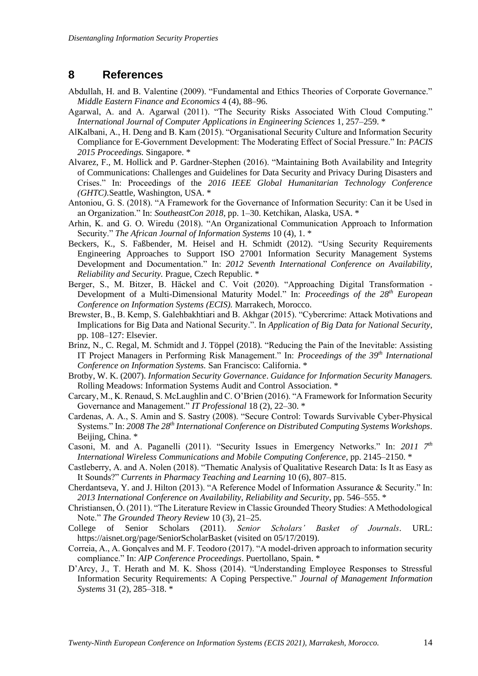## **8 References**

- Abdullah, H. and B. Valentine (2009). "Fundamental and Ethics Theories of Corporate Governance." *Middle Eastern Finance and Economics* 4 (4), 88–96.
- Agarwal, A. and A. Agarwal (2011). "The Security Risks Associated With Cloud Computing." *International Journal of Computer Applications in Engineering Sciences* 1, 257–259. \*
- AlKalbani, A., H. Deng and B. Kam (2015). "Organisational Security Culture and Information Security Compliance for E-Government Development: The Moderating Effect of Social Pressure." In: *PACIS 2015 Proceedings.* Singapore. \*
- Alvarez, F., M. Hollick and P. Gardner-Stephen (2016). "Maintaining Both Availability and Integrity of Communications: Challenges and Guidelines for Data Security and Privacy During Disasters and Crises." In: Proceedings of the *2016 IEEE Global Humanitarian Technology Conference (GHTC).*Seattle, Washington, USA. \*
- Antoniou, G. S. (2018). "A Framework for the Governance of Information Security: Can it be Used in an Organization." In: *SoutheastCon 2018*, pp. 1–30. Ketchikan, Alaska, USA. \*
- Arhin, K. and G. O. Wiredu (2018). "An Organizational Communication Approach to Information Security." *The African Journal of Information Systems* 10 (4), 1. \*
- Beckers, K., S. Faßbender, M. Heisel and H. Schmidt (2012). "Using Security Requirements Engineering Approaches to Support ISO 27001 Information Security Management Systems Development and Documentation." In: *2012 Seventh International Conference on Availability, Reliability and Security.* Prague, Czech Republic. \*
- Berger, S., M. Bitzer, B. Häckel and C. Voit (2020). "Approaching Digital Transformation Development of a Multi-Dimensional Maturity Model." In: *Proceedings of the 28th European Conference on Information Systems (ECIS).* Marrakech, Morocco.
- Brewster, B., B. Kemp, S. Galehbakhtiari and B. Akhgar (2015). "Cybercrime: Attack Motivations and Implications for Big Data and National Security.". In *Application of Big Data for National Security*, pp. 108–127: Elsevier.
- Brinz, N., C. Regal, M. Schmidt and J. Töppel (2018). "Reducing the Pain of the Inevitable: Assisting IT Project Managers in Performing Risk Management." In: *Proceedings of the 39th International Conference on Information Systems.* San Francisco: California. \*
- Brotby, W. K. (2007). *Information Security Governance*. *Guidance for Information Security Managers.*  Rolling Meadows: Information Systems Audit and Control Association. \*
- Carcary, M., K. Renaud, S. McLaughlin and C. O'Brien (2016). "A Framework for Information Security Governance and Management." *IT Professional* 18 (2), 22–30. \*
- Cardenas, A. A., S. Amin and S. Sastry (2008). "Secure Control: Towards Survivable Cyber-Physical Systems." In: *2008 The 28th International Conference on Distributed Computing Systems Workshops*. Beijing, China. \*
- Casoni, M. and A. Paganelli (2011). "Security Issues in Emergency Networks." In: *2011 7th International Wireless Communications and Mobile Computing Conference*, pp. 2145–2150. \*
- Castleberry, A. and A. Nolen (2018). "Thematic Analysis of Qualitative Research Data: Is It as Easy as It Sounds?" *Currents in Pharmacy Teaching and Learning* 10 (6), 807–815.
- Cherdantseva, Y. and J. Hilton (2013). "A Reference Model of Information Assurance & Security." In: *2013 International Conference on Availability, Reliability and Security*, pp. 546–555. \*
- Christiansen, Ó. (2011). "The Literature Review in Classic Grounded Theory Studies: A Methodological Note." *The Grounded Theory Review* 10 (3), 21–25.
- College of Senior Scholars (2011). *Senior Scholars' Basket of Journals*. URL: https://aisnet.org/page/SeniorScholarBasket (visited on 05/17/2019).
- Correia, A., A. Gonçalves and M. F. Teodoro (2017). "A model-driven approach to information security compliance." In: *AIP Conference Proceedings*. Puertollano, Spain. \*
- D'Arcy, J., T. Herath and M. K. Shoss (2014). "Understanding Employee Responses to Stressful Information Security Requirements: A Coping Perspective." *Journal of Management Information Systems* 31 (2), 285–318. \*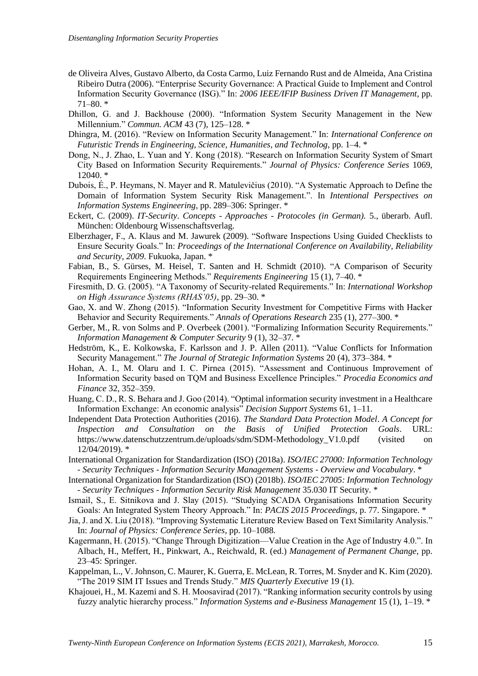- de Oliveira Alves, Gustavo Alberto, da Costa Carmo, Luiz Fernando Rust and de Almeida, Ana Cristina Ribeiro Dutra (2006). "Enterprise Security Governance: A Practical Guide to Implement and Control Information Security Governance (ISG)." In: *2006 IEEE/IFIP Business Driven IT Management*, pp.  $71-80.$ \*
- Dhillon, G. and J. Backhouse (2000). "Information System Security Management in the New Millennium." *Commun. ACM* 43 (7), 125–128. \*
- Dhingra, M. (2016). "Review on Information Security Management." In: *International Conference on Futuristic Trends in Engineering, Science, Humanities, and Technolog*, pp. 1–4. \*
- Dong, N., J. Zhao, L. Yuan and Y. Kong (2018). "Research on Information Security System of Smart City Based on Information Security Requirements." *Journal of Physics: Conference Series* 1069, 12040. \*
- Dubois, É., P. Heymans, N. Mayer and R. Matulevičius (2010). "A Systematic Approach to Define the Domain of Information System Security Risk Management.". In *Intentional Perspectives on Information Systems Engineering*, pp. 289–306: Springer. \*
- Eckert, C. (2009). *IT-Security*. *Concepts - Approaches - Protocoles (in German).* 5., überarb. Aufl. München: Oldenbourg Wissenschaftsverlag.
- Elberzhager, F., A. Klaus and M. Jawurek (2009). "Software Inspections Using Guided Checklists to Ensure Security Goals." In: *Proceedings of the International Conference on Availability, Reliability and Security, 2009*. Fukuoka, Japan. \*
- Fabian, B., S. Gürses, M. Heisel, T. Santen and H. Schmidt (2010). "A Comparison of Security Requirements Engineering Methods." *Requirements Engineering* 15 (1), 7–40. \*
- Firesmith, D. G. (2005). "A Taxonomy of Security-related Requirements." In: *International Workshop on High Assurance Systems (RHAS'05)*, pp. 29–30. \*
- Gao, X. and W. Zhong (2015). "Information Security Investment for Competitive Firms with Hacker Behavior and Security Requirements." *Annals of Operations Research* 235 (1), 277–300. \*
- Gerber, M., R. von Solms and P. Overbeek (2001). "Formalizing Information Security Requirements." *Information Management & Computer Security* 9 (1), 32–37. \*
- Hedström, K., E. Kolkowska, F. Karlsson and J. P. Allen (2011). "Value Conflicts for Information Security Management." *The Journal of Strategic Information Systems* 20 (4), 373–384. \*
- Hohan, A. I., M. Olaru and I. C. Pirnea (2015). "Assessment and Continuous Improvement of Information Security based on TQM and Business Excellence Principles." *Procedia Economics and Finance* 32, 352–359.
- Huang, C. D., R. S. Behara and J. Goo (2014). "Optimal information security investment in a Healthcare Information Exchange: An economic analysis" *Decision Support Systems* 61, 1–11.
- Independent Data Protection Authorities (2016). *The Standard Data Protection Model*. *A Concept for Inspection and Consultation on the Basis of Unified Protection Goals*. URL: https://www.datenschutzzentrum.de/uploads/sdm/SDM-Methodology\_V1.0.pdf (visited on 12/04/2019). \*
- International Organization for Standardization (ISO) (2018a). *ISO/IEC 27000: Information Technology - Security Techniques - Information Security Management Systems - Overview and Vocabulary*. \*
- International Organization for Standardization (ISO) (2018b). *ISO/IEC 27005: Information Technology - Security Techniques - Information Security Risk Management* 35.030 IT Security. \*
- Ismail, S., E. Sitnikova and J. Slay (2015). "Studying SCADA Organisations Information Security Goals: An Integrated System Theory Approach." In: *PACIS 2015 Proceedings*, p. 77. Singapore. \*
- Jia, J. and X. Liu (2018). "Improving Systematic Literature Review Based on Text Similarity Analysis." In: *Journal of Physics: Conference Series*, pp. 10–1088.
- Kagermann, H. (2015). "Change Through Digitization—Value Creation in the Age of Industry 4.0.". In Albach, H., Meffert, H., Pinkwart, A., Reichwald, R. (ed.) *Management of Permanent Change*, pp. 23–45: Springer.
- Kappelman, L., V. Johnson, C. Maurer, K. Guerra, E. McLean, R. Torres, M. Snyder and K. Kim (2020). "The 2019 SIM IT Issues and Trends Study." *MIS Quarterly Executive* 19 (1).
- Khajouei, H., M. Kazemi and S. H. Moosavirad (2017). "Ranking information security controls by using fuzzy analytic hierarchy process." *Information Systems and e-Business Management* 15 (1), 1–19. \*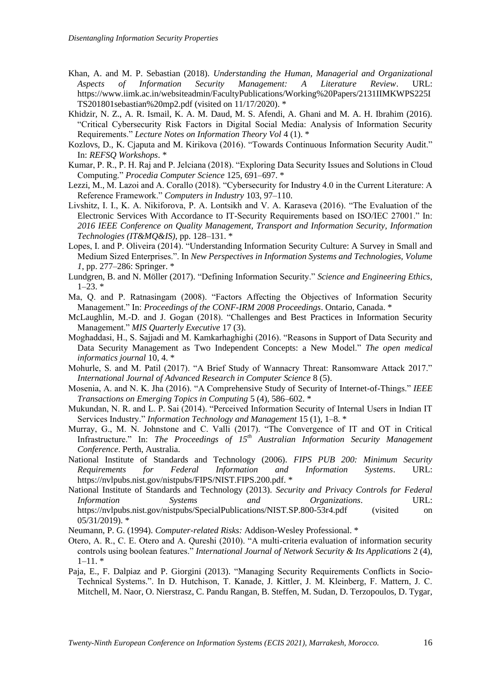- Khan, A. and M. P. Sebastian (2018). *Understanding the Human, Managerial and Organizational Aspects of Information Security Management: A Literature Review*. URL: https://www.iimk.ac.in/websiteadmin/FacultyPublications/Working%20Papers/2131IIMKWPS225I TS201801sebastian%20mp2.pdf (visited on 11/17/2020). \*
- Khidzir, N. Z., A. R. Ismail, K. A. M. Daud, M. S. Afendi, A. Ghani and M. A. H. Ibrahim (2016). "Critical Cybersecurity Risk Factors in Digital Social Media: Analysis of Information Security Requirements." *Lecture Notes on Information Theory Vol* 4 (1). \*
- Kozlovs, D., K. Cjaputa and M. Kirikova (2016). "Towards Continuous Information Security Audit." In: *REFSQ Workshops*. \*
- Kumar, P. R., P. H. Raj and P. Jelciana (2018). "Exploring Data Security Issues and Solutions in Cloud Computing." *Procedia Computer Science* 125, 691–697. \*
- Lezzi, M., M. Lazoi and A. Corallo (2018). "Cybersecurity for Industry 4.0 in the Current Literature: A Reference Framework." *Computers in Industry* 103, 97–110.
- Livshitz, I. I., K. A. Nikiforova, P. A. Lontsikh and V. A. Karaseva (2016). "The Evaluation of the Electronic Services With Accordance to IT-Security Requirements based on ISO/IEC 27001." In: *2016 IEEE Conference on Quality Management, Transport and Information Security, Information Technologies (IT&MQ&IS)*, pp. 128–131. \*
- Lopes, I. and P. Oliveira (2014). "Understanding Information Security Culture: A Survey in Small and Medium Sized Enterprises.". In *New Perspectives in Information Systems and Technologies, Volume 1*, pp. 277–286: Springer. \*
- Lundgren, B. and N. Möller (2017). "Defining Information Security." *Science and Engineering Ethics*,  $1-23.$  \*
- Ma, Q. and P. Ratnasingam (2008). "Factors Affecting the Objectives of Information Security Management." In: *Proceedings of the CONF-IRM 2008 Proceedings*. Ontario, Canada. \*
- McLaughlin, M.-D. and J. Gogan (2018). "Challenges and Best Practices in Information Security Management." *MIS Quarterly Executive* 17 (3).
- Moghaddasi, H., S. Sajjadi and M. Kamkarhaghighi (2016). "Reasons in Support of Data Security and Data Security Management as Two Independent Concepts: a New Model." *The open medical informatics journal* 10, 4. \*
- Mohurle, S. and M. Patil (2017). "A Brief Study of Wannacry Threat: Ransomware Attack 2017." *International Journal of Advanced Research in Computer Science* 8 (5).
- Mosenia, A. and N. K. Jha (2016). "A Comprehensive Study of Security of Internet-of-Things." *IEEE Transactions on Emerging Topics in Computing* 5 (4), 586–602. \*
- Mukundan, N. R. and L. P. Sai (2014). "Perceived Information Security of Internal Users in Indian IT Services Industry." *Information Technology and Management* 15 (1), 1–8. \*
- Murray, G., M. N. Johnstone and C. Valli (2017). "The Convergence of IT and OT in Critical Infrastructure." In: *The Proceedings of 15th Australian Information Security Management Conference*. Perth, Australia.
- National Institute of Standards and Technology (2006). *FIPS PUB 200: Minimum Security Requirements for Federal Information and Information Systems*. URL: https://nvlpubs.nist.gov/nistpubs/FIPS/NIST.FIPS.200.pdf. \*
- National Institute of Standards and Technology (2013). *Security and Privacy Controls for Federal Information Systems and Organizations*. URL: https://nvlpubs.nist.gov/nistpubs/SpecialPublications/NIST.SP.800-53r4.pdf (visited on 05/31/2019). \*

Neumann, P. G. (1994). *Computer-related Risks:* Addison-Wesley Professional. \*

- Otero, A. R., C. E. Otero and A. Qureshi (2010). "A multi-criteria evaluation of information security controls using boolean features." *International Journal of Network Security & Its Applications* 2 (4),  $1-11.$  \*
- Paja, E., F. Dalpiaz and P. Giorgini (2013). "Managing Security Requirements Conflicts in Socio-Technical Systems.". In D. Hutchison, T. Kanade, J. Kittler, J. M. Kleinberg, F. Mattern, J. C. Mitchell, M. Naor, O. Nierstrasz, C. Pandu Rangan, B. Steffen, M. Sudan, D. Terzopoulos, D. Tygar,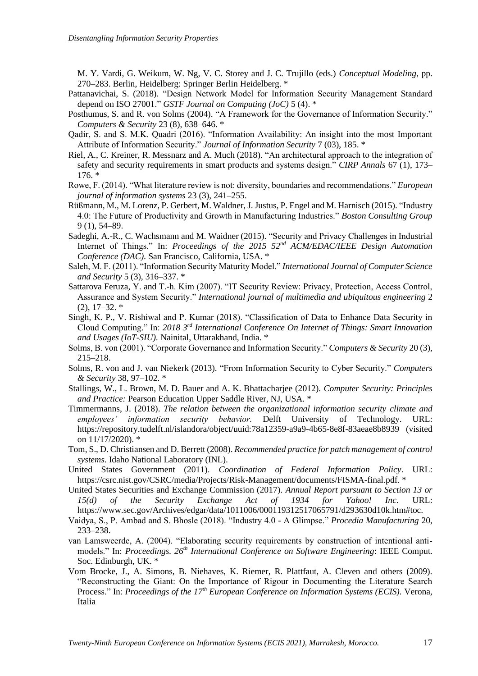M. Y. Vardi, G. Weikum, W. Ng, V. C. Storey and J. C. Trujillo (eds.) *Conceptual Modeling*, pp. 270–283. Berlin, Heidelberg: Springer Berlin Heidelberg. \*

- Pattanavichai, S. (2018). "Design Network Model for Information Security Management Standard depend on ISO 27001." *GSTF Journal on Computing (JoC)* 5 (4). \*
- Posthumus, S. and R. von Solms (2004). "A Framework for the Governance of Information Security." *Computers & Security* 23 (8), 638–646. \*
- Qadir, S. and S. M.K. Quadri (2016). "Information Availability: An insight into the most Important Attribute of Information Security." *Journal of Information Security* 7 (03), 185. \*
- Riel, A., C. Kreiner, R. Messnarz and A. Much (2018). "An architectural approach to the integration of safety and security requirements in smart products and systems design." *CIRP Annals* 67 (1), 173– 176. \*
- Rowe, F. (2014). "What literature review is not: diversity, boundaries and recommendations." *European journal of information systems* 23 (3), 241–255.
- Rüßmann, M., M. Lorenz, P. Gerbert, M. Waldner, J. Justus, P. Engel and M. Harnisch (2015). "Industry 4.0: The Future of Productivity and Growth in Manufacturing Industries." *Boston Consulting Group* 9 (1), 54–89.
- Sadeghi, A.-R., C. Wachsmann and M. Waidner (2015). "Security and Privacy Challenges in Industrial Internet of Things." In: *Proceedings of the 2015 52nd ACM/EDAC/IEEE Design Automation Conference (DAC).* San Francisco, California, USA. \*
- Saleh, M. F. (2011). "Information Security Maturity Model." *International Journal of Computer Science and Security* 5 (3), 316–337. \*
- Sattarova Feruza, Y. and T.-h. Kim (2007). "IT Security Review: Privacy, Protection, Access Control, Assurance and System Security." *International journal of multimedia and ubiquitous engineering* 2  $(2)$ , 17–32.  $*$
- Singh, K. P., V. Rishiwal and P. Kumar (2018). "Classification of Data to Enhance Data Security in Cloud Computing." In: *2018 3rd International Conference On Internet of Things: Smart Innovation and Usages (IoT-SIU).* Nainital, Uttarakhand, India. \*
- Solms, B. von (2001). "Corporate Governance and Information Security." *Computers & Security* 20 (3), 215–218.
- Solms, R. von and J. van Niekerk (2013). "From Information Security to Cyber Security." *Computers & Security* 38, 97–102. \*
- Stallings, W., L. Brown, M. D. Bauer and A. K. Bhattacharjee (2012). *Computer Security: Principles and Practice:* Pearson Education Upper Saddle River, NJ, USA. \*
- Timmermanns, J. (2018). *The relation between the organizational information security climate and employees' information security behavior.* Delft University of Technology. URL: https://repository.tudelft.nl/islandora/object/uuid:78a12359-a9a9-4b65-8e8f-83aeae8b8939 (visited on 11/17/2020). \*
- Tom, S., D. Christiansen and D. Berrett (2008). *Recommended practice for patch management of control systems.* Idaho National Laboratory (INL).
- United States Government (2011). *Coordination of Federal Information Policy*. URL: https://csrc.nist.gov/CSRC/media/Projects/Risk-Management/documents/FISMA-final.pdf. \*
- United States Securities and Exchange Commission (2017). *Annual Report pursuant to Section 13 or 15(d) of the Security Exchange Act of 1934 for Yahoo! Inc.* URL: https://www.sec.gov/Archives/edgar/data/1011006/000119312517065791/d293630d10k.htm#toc.
- Vaidya, S., P. Ambad and S. Bhosle (2018). "Industry 4.0 A Glimpse." *Procedia Manufacturing* 20, 233–238.
- van Lamsweerde, A. (2004). "Elaborating security requirements by construction of intentional antimodels." In: *Proceedings. 26th International Conference on Software Engineering*: IEEE Comput. Soc. Edinburgh, UK. \*
- Vom Brocke, J., A. Simons, B. Niehaves, K. Riemer, R. Plattfaut, A. Cleven and others (2009). "Reconstructing the Giant: On the Importance of Rigour in Documenting the Literature Search Process." In: *Proceedings of the 17th European Conference on Information Systems (ECIS).* Verona, Italia